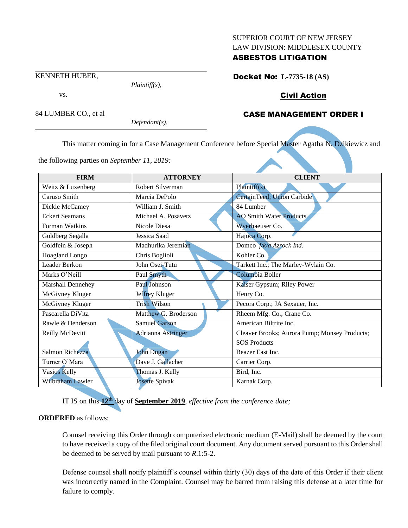#### SUPERIOR COURT OF NEW JERSEY LAW DIVISION: MIDDLESEX COUNTY

## ASBESTOS LITIGATION

KENNETH HUBER,

vs.

84 LUMBER CO., et al

*Defendant(s).*

*Plaintiff(s),*

Docket No: **L-7735-18 (AS)**

# Civil Action

# CASE MANAGEMENT ORDER I

This matter coming in for a Case Management Conference before Special Master Agatha N. Dzikiewicz and

**FIRM ATTORNEY CLIENT** Weitz & Luxenberg Robert Silverman Plaintiff(s) Caruso Smith Marcia DePolo CertainTeed; Union Carbide Dickie McCamey William J. Smith 84 Lumber Eckert Seamans Michael A. Posavetz AO Smith Water Products Forman Watkins Nicole Diesa Wyerhaeuser Co. Goldberg Segalla Jessica Saad Hajoca Corp. Goldfein & Joseph Madhurika Jeremiah Domco *f/k/a Azrock Ind.* Hoagland Longo Chris Boglioli Kohler Co. Leader Berkon John Osei-Tutu Tarkett Inc.; The Marley-Wylain Co. Marks O'Neill Paul Smyth Columbia Boiler Marshall Dennehey Paul Johnson Kaiser Gypsum; Riley Power McGivney Kluger Jeffrey Kluger Henry Co. McGivney Kluger Trish Wilson Pecora Corp.; JA Sexauer, Inc. Pascarella DiVita Matthew G. Broderson Rheem Mfg. Co.; Crane Co. Rawle & Henderson Samuel Garson Samuel Garson American Biltrite Inc. Reilly McDevitt Adrianna Astringer Cleaver Brooks; Aurora Pump; Monsey Products; SOS Products Salmon Richezza John Dugan Beazer East Inc. Turner O'Mara Dave J. Gallacher Carrier Corp. Vasios Kelly **Thomas J. Kelly** Bird, Inc. Wilbraham Lawler Josette Spivak Karnak Corp.

the following parties on *September 11, 2019:*

IT IS on this **12th** day of **September 2019**, *effective from the conference date;*

## **ORDERED** as follows:

Counsel receiving this Order through computerized electronic medium (E-Mail) shall be deemed by the court to have received a copy of the filed original court document. Any document served pursuant to this Order shall be deemed to be served by mail pursuant to *R*.1:5-2.

Defense counsel shall notify plaintiff's counsel within thirty (30) days of the date of this Order if their client was incorrectly named in the Complaint. Counsel may be barred from raising this defense at a later time for failure to comply.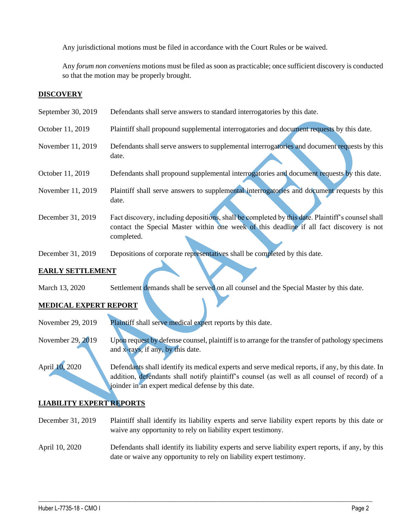Any jurisdictional motions must be filed in accordance with the Court Rules or be waived.

Any *forum non conveniens* motions must be filed as soon as practicable; once sufficient discovery is conducted so that the motion may be properly brought.

## **DISCOVERY**

| September 30, 2019     | Defendants shall serve answers to standard interrogatories by this date.                                                                                                                                    |
|------------------------|-------------------------------------------------------------------------------------------------------------------------------------------------------------------------------------------------------------|
| October 11, 2019       | Plaintiff shall propound supplemental interrogatories and document requests by this date.                                                                                                                   |
| November 11, 2019      | Defendants shall serve answers to supplemental interrogatories and document requests by this<br>date.                                                                                                       |
| October 11, 2019       | Defendants shall propound supplemental interrogatories and document requests by this date.                                                                                                                  |
| November 11, 2019      | Plaintiff shall serve answers to supplemental interrogatories and document requests by this<br>date.                                                                                                        |
| December 31, 2019      | Fact discovery, including depositions, shall be completed by this date. Plaintiff's counsel shall<br>contact the Special Master within one week of this deadline if all fact discovery is not<br>completed. |
| December 31, 2019      | Depositions of corporate representatives shall be completed by this date.                                                                                                                                   |
| E LEVET CEREB EN CENTR |                                                                                                                                                                                                             |

## **EARLY SETTLEMENT**

March 13, 2020 Settlement demands shall be served on all counsel and the Special Master by this date.

## **MEDICAL EXPERT REPORT**

November 29, 2019 Plaintiff shall serve medical expert reports by this date.

November 29, 2019 Upon request by defense counsel, plaintiff is to arrange for the transfer of pathology specimens and x-rays, if any, by this date.

April 10, 2020 Defendants shall identify its medical experts and serve medical reports, if any, by this date. In addition, defendants shall notify plaintiff's counsel (as well as all counsel of record) of a joinder in an expert medical defense by this date.

## **LIABILITY EXPERT REPORTS**

December 31, 2019 Plaintiff shall identify its liability experts and serve liability expert reports by this date or waive any opportunity to rely on liability expert testimony.

April 10, 2020 Defendants shall identify its liability experts and serve liability expert reports, if any, by this date or waive any opportunity to rely on liability expert testimony.

 $\_$  , and the set of the set of the set of the set of the set of the set of the set of the set of the set of the set of the set of the set of the set of the set of the set of the set of the set of the set of the set of th